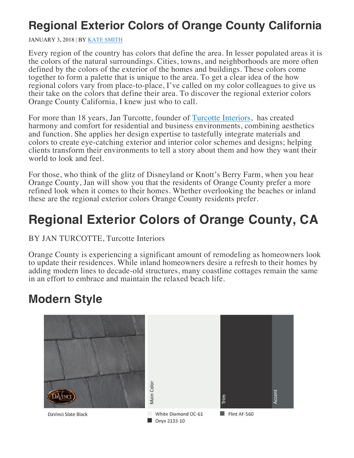# **Regional Exterior Colors of Orange County California**

#### JANUARY 3, 2018 | BY KATE SMITH

Every region of the country has colors that define the area. In lesser populated areas it is the colors of the natural surroundings. Cities, towns, and neighborhoods are more often defined by the colors of the exterior of the homes and buildings. These colors come together to form a palette that is unique to the area. To get a clear idea of the how regional colors vary from place-to-place, I've called on my color colleagues to give us their take on the colors that define their area. To discover the regional exterior colors Orange County California, I knew just who to call.

For more than 18 years, Jan Turcotte, founder of Turcotte Interiors, has created harmony and comfort for residential and business environments, combining aesthetics and function. She applies her design expertise to tastefully integrate materials and colors to create eye-catching exterior and interior color schemes and designs; helping clients transform their environments to tell a story about them and how they want their world to look and feel.

For those, who think of the glitz of Disneyland or Knott's Berry Farm, when you hear Orange County, Jan will show you that the residents of Orange County prefer a more refined look when it comes to their homes. Whether overlooking the beaches or inland these are the regional exterior colors Orange County residents prefer.

# **Regional Exterior Colors of Orange County, CA**

### BY JAN TURCOTTE, Turcotte Interiors

Orange County is experiencing a significant amount of remodeling as homeowners look to update their residences. While inland homeowners desire a refresh to their homes by adding modern lines to decade-old structures, many coastline cottages remain the same in an effort to embrace and maintain the relaxed beach life.

### **Modern Style**

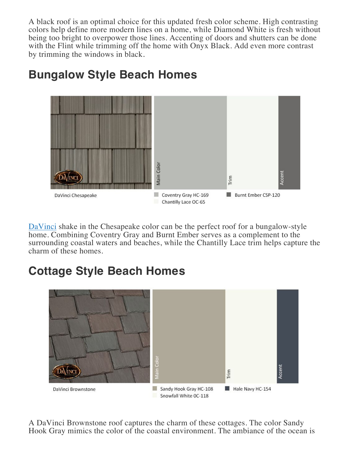A black roof is an optimal choice for this updated fresh color scheme. High contrasting colors help define more modern lines on a home, while Diamond White is fresh without being too bright to overpower those lines. Accenting of doors and shutters can be done with the Flint while trimming off the home with Onyx Black. Add even more contrast by trimming the windows in black.



# **Bungalow Style Beach Homes**

DaVinci shake in the Chesapeake color can be the perfect roof for a bungalow-style home. Combining Coventry Gray and Burnt Ember serves as a complement to the surrounding coastal waters and beaches, while the Chantilly Lace trim helps capture the charm of these homes.

# **Cottage Style Beach Homes**



A DaVinci Brownstone roof captures the charm of these cottages. The color Sandy Hook Gray mimics the color of the coastal environment. The ambiance of the ocean is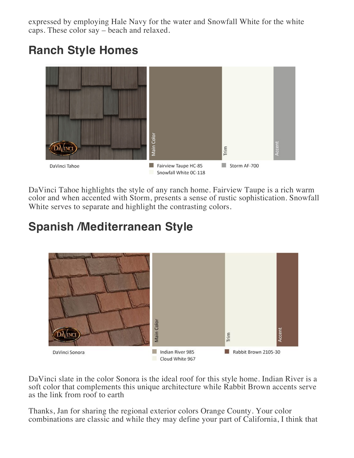expressed by employing Hale Navy for the water and Snowfall White for the white caps. These color say – beach and relaxed.

# **Ranch Style Homes**



DaVinci Tahoe highlights the style of any ranch home. Fairview Taupe is a rich warm color and when accented with Storm, presents a sense of rustic sophistication. Snowfall White serves to separate and highlight the contrasting colors.

# **Spanish /Mediterranean Style**



DaVinci slate in the color Sonora is the ideal roof for this style home. Indian River is a soft color that complements this unique architecture while Rabbit Brown accents serve as the link from roof to earth

Thanks, Jan for sharing the regional exterior colors Orange County. Your color combinations are classic and while they may define your part of California, I think that